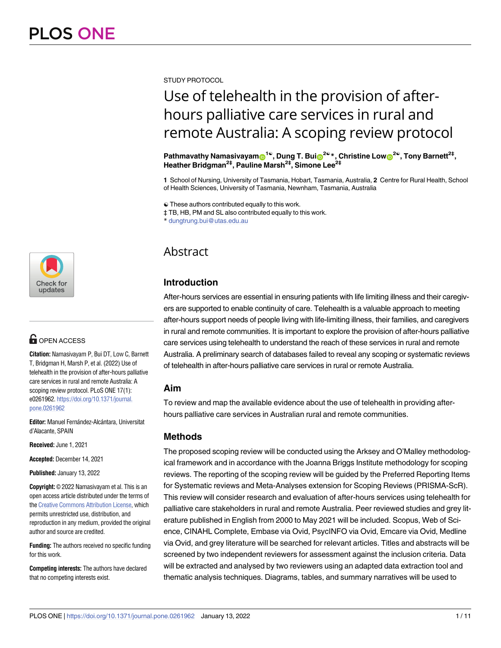[a1111111111](http://crossmark.crossref.org/dialog/?doi=10.1371/journal.pone.0261962&domain=pdf&date_stamp=2022-01-13) [a1111111111](http://crossmark.crossref.org/dialog/?doi=10.1371/journal.pone.0261962&domain=pdf&date_stamp=2022-01-13) [a1111111111](http://crossmark.crossref.org/dialog/?doi=10.1371/journal.pone.0261962&domain=pdf&date_stamp=2022-01-13) Check for updates

## **G** OPEN ACCESS

**Citation:** Namasivayam P, Bui DT, Low C, Barnett T, Bridgman H, Marsh P, et al. (2022) Use of telehealth in the provision of after-hours palliative care services in rural and remote Australia: A scoping review protocol. PLoS ONE 17(1): e0261962. [https://doi.org/10.1371/journal.](https://doi.org/10.1371/journal.pone.0261962) [pone.0261962](https://doi.org/10.1371/journal.pone.0261962)

Editor: Manuel Fernández-Alcántara, Universitat d'Alacante, SPAIN

**Received:** June 1, 2021

**Accepted:** December 14, 2021

**Published:** January 13, 2022

**Copyright:** © 2022 Namasivayam et al. This is an open access article distributed under the terms of the Creative [Commons](http://creativecommons.org/licenses/by/4.0/) Attribution License, which permits unrestricted use, distribution, and reproduction in any medium, provided the original author and source are credited.

**Funding:** The authors received no specific funding for this work.

**Competing interests:** The authors have declared that no competing interests exist.

STUDY PROTOCOL

# Use of telehealth in the provision of afterhours palliative care services in rural and remote Australia: A scoping review protocol

**Pathmavathy Namasivayam**<sup>1©</sup>, Dung T. Bui<sup>1</sup><sup>2©</sup><sup>\*</sup>, Christine Low<sup>1</sup><sup>2©</sup>, Tony Barnett<sup>2‡</sup>, **Heather Bridgman2‡, Pauline Marsh2‡, Simone Lee2‡**

**1** School of Nursing, University of Tasmania, Hobart, Tasmania, Australia, **2** Centre for Rural Health, School of Health Sciences, University of Tasmania, Newnham, Tasmania, Australia

☯ These authors contributed equally to this work.

‡ TB, HB, PM and SL also contributed equally to this work.

\* dungtrung.bui@utas.edu.au

### Abstract

#### **Introduction**

After-hours services are essential in ensuring patients with life limiting illness and their caregivers are supported to enable continuity of care. Telehealth is a valuable approach to meeting after-hours support needs of people living with life-limiting illness, their families, and caregivers in rural and remote communities. It is important to explore the provision of after-hours palliative care services using telehealth to understand the reach of these services in rural and remote Australia. A preliminary search of databases failed to reveal any scoping or systematic reviews of telehealth in after-hours palliative care services in rural or remote Australia.

#### **Aim**

To review and map the available evidence about the use of telehealth in providing afterhours palliative care services in Australian rural and remote communities.

#### **Methods**

The proposed scoping review will be conducted using the Arksey and O'Malley methodological framework and in accordance with the Joanna Briggs Institute methodology for scoping reviews. The reporting of the scoping review will be guided by the Preferred Reporting Items for Systematic reviews and Meta-Analyses extension for Scoping Reviews (PRISMA-ScR). This review will consider research and evaluation of after-hours services using telehealth for palliative care stakeholders in rural and remote Australia. Peer reviewed studies and grey literature published in English from 2000 to May 2021 will be included. Scopus, Web of Science, CINAHL Complete, Embase via Ovid, PsycINFO via Ovid, Emcare via Ovid, Medline via Ovid, and grey literature will be searched for relevant articles. Titles and abstracts will be screened by two independent reviewers for assessment against the inclusion criteria. Data will be extracted and analysed by two reviewers using an adapted data extraction tool and thematic analysis techniques. Diagrams, tables, and summary narratives will be used to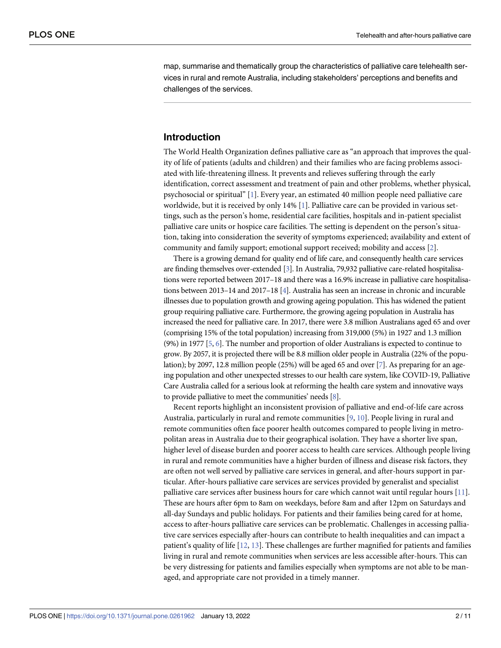<span id="page-1-0"></span>map, summarise and thematically group the characteristics of palliative care telehealth services in rural and remote Australia, including stakeholders' perceptions and benefits and challenges of the services.

#### **Introduction**

The World Health Organization defines palliative care as "an approach that improves the quality of life of patients (adults and children) and their families who are facing problems associated with life-threatening illness. It prevents and relieves suffering through the early identification, correct assessment and treatment of pain and other problems, whether physical, psychosocial or spiritual" [[1\]](#page-8-0). Every year, an estimated 40 million people need palliative care worldwide, but it is received by only 14% [\[1](#page-8-0)]. Palliative care can be provided in various settings, such as the person's home, residential care facilities, hospitals and in-patient specialist palliative care units or hospice care facilities. The setting is dependent on the person's situation, taking into consideration the severity of symptoms experienced; availability and extent of community and family support; emotional support received; mobility and access [\[2](#page-8-0)].

There is a growing demand for quality end of life care, and consequently health care services are finding themselves over-extended [\[3\]](#page-8-0). In Australia, 79,932 palliative care-related hospitalisations were reported between 2017–18 and there was a 16.9% increase in palliative care hospitalisations between 2013–14 and 2017–18 [\[4\]](#page-8-0). Australia has seen an increase in chronic and incurable illnesses due to population growth and growing ageing population. This has widened the patient group requiring palliative care. Furthermore, the growing ageing population in Australia has increased the need for palliative care. In 2017, there were 3.8 million Australians aged 65 and over (comprising 15% of the total population) increasing from 319,000 (5%) in 1927 and 1.3 million (9%) in 1977 [[5](#page-8-0), [6](#page-8-0)]. The number and proportion of older Australians is expected to continue to grow. By 2057, it is projected there will be 8.8 million older people in Australia (22% of the population); by 2097, 12.8 million people (25%) will be aged 65 and over [\[7\]](#page-8-0). As preparing for an ageing population and other unexpected stresses to our health care system, like COVID-19, Palliative Care Australia called for a serious look at reforming the health care system and innovative ways to provide palliative to meet the communities' needs [[8](#page-8-0)].

Recent reports highlight an inconsistent provision of palliative and end-of-life care across Australia, particularly in rural and remote communities [\[9,](#page-8-0) [10\]](#page-8-0). People living in rural and remote communities often face poorer health outcomes compared to people living in metropolitan areas in Australia due to their geographical isolation. They have a shorter live span, higher level of disease burden and poorer access to health care services. Although people living in rural and remote communities have a higher burden of illness and disease risk factors, they are often not well served by palliative care services in general, and after-hours support in particular. After-hours palliative care services are services provided by generalist and specialist palliative care services after business hours for care which cannot wait until regular hours [\[11\]](#page-8-0). These are hours after 6pm to 8am on weekdays, before 8am and after 12pm on Saturdays and all-day Sundays and public holidays. For patients and their families being cared for at home, access to after-hours palliative care services can be problematic. Challenges in accessing palliative care services especially after-hours can contribute to health inequalities and can impact a patient's quality of life [\[12,](#page-8-0) [13\]](#page-8-0). These challenges are further magnified for patients and families living in rural and remote communities when services are less accessible after-hours. This can be very distressing for patients and families especially when symptoms are not able to be managed, and appropriate care not provided in a timely manner.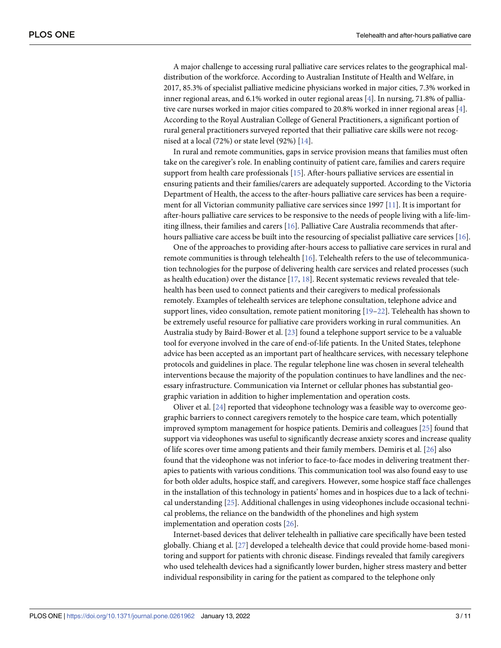<span id="page-2-0"></span>A major challenge to accessing rural palliative care services relates to the geographical maldistribution of the workforce. According to Australian Institute of Health and Welfare, in 2017, 85.3% of specialist palliative medicine physicians worked in major cities, 7.3% worked in inner regional areas, and 6.1% worked in outer regional areas [[4\]](#page-8-0). In nursing, 71.8% of palliative care nurses worked in major cities compared to 20.8% worked in inner regional areas [[4\]](#page-8-0). According to the Royal Australian College of General Practitioners, a significant portion of rural general practitioners surveyed reported that their palliative care skills were not recognised at a local (72%) or state level (92%) [\[14\]](#page-8-0).

In rural and remote communities, gaps in service provision means that families must often take on the caregiver's role. In enabling continuity of patient care, families and carers require support from health care professionals [\[15\]](#page-8-0). After-hours palliative services are essential in ensuring patients and their families/carers are adequately supported. According to the Victoria Department of Health, the access to the after-hours palliative care services has been a requirement for all Victorian community palliative care services since 1997 [[11](#page-8-0)]. It is important for after-hours palliative care services to be responsive to the needs of people living with a life-limiting illness, their families and carers [[16](#page-8-0)]. Palliative Care Australia recommends that afterhours palliative care access be built into the resourcing of specialist palliative care services [\[16\]](#page-8-0).

One of the approaches to providing after-hours access to palliative care services in rural and remote communities is through telehealth [\[16\]](#page-8-0). Telehealth refers to the use of telecommunication technologies for the purpose of delivering health care services and related processes (such as health education) over the distance  $[17, 18]$  $[17, 18]$  $[17, 18]$  $[17, 18]$ . Recent systematic reviews revealed that telehealth has been used to connect patients and their caregivers to medical professionals remotely. Examples of telehealth services are telephone consultation, telephone advice and support lines, video consultation, remote patient monitoring  $[19-22]$  $[19-22]$  $[19-22]$ . Telehealth has shown to be extremely useful resource for palliative care providers working in rural communities. An Australia study by Baird-Bower et al. [\[23\]](#page-9-0) found a telephone support service to be a valuable tool for everyone involved in the care of end-of-life patients. In the United States, telephone advice has been accepted as an important part of healthcare services, with necessary telephone protocols and guidelines in place. The regular telephone line was chosen in several telehealth interventions because the majority of the population continues to have landlines and the necessary infrastructure. Communication via Internet or cellular phones has substantial geographic variation in addition to higher implementation and operation costs.

Oliver et al. [\[24\]](#page-9-0) reported that videophone technology was a feasible way to overcome geographic barriers to connect caregivers remotely to the hospice care team, which potentially improved symptom management for hospice patients. Demiris and colleagues [[25](#page-9-0)] found that support via videophones was useful to significantly decrease anxiety scores and increase quality of life scores over time among patients and their family members. Demiris et al. [\[26\]](#page-9-0) also found that the videophone was not inferior to face-to-face modes in delivering treatment therapies to patients with various conditions. This communication tool was also found easy to use for both older adults, hospice staff, and caregivers. However, some hospice staff face challenges in the installation of this technology in patients' homes and in hospices due to a lack of technical understanding [\[25\]](#page-9-0). Additional challenges in using videophones include occasional technical problems, the reliance on the bandwidth of the phonelines and high system implementation and operation costs [[26](#page-9-0)].

Internet-based devices that deliver telehealth in palliative care specifically have been tested globally. Chiang et al. [[27](#page-9-0)] developed a telehealth device that could provide home-based monitoring and support for patients with chronic disease. Findings revealed that family caregivers who used telehealth devices had a significantly lower burden, higher stress mastery and better individual responsibility in caring for the patient as compared to the telephone only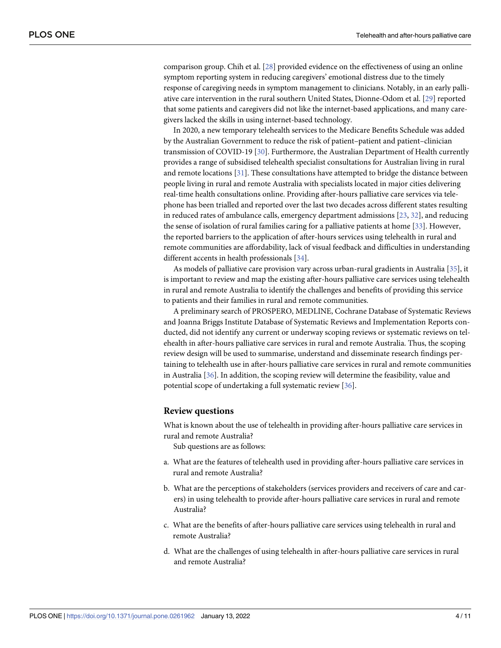<span id="page-3-0"></span>comparison group. Chih et al. [\[28\]](#page-9-0) provided evidence on the effectiveness of using an online symptom reporting system in reducing caregivers' emotional distress due to the timely response of caregiving needs in symptom management to clinicians. Notably, in an early palliative care intervention in the rural southern United States, Dionne-Odom et al. [[29](#page-9-0)] reported that some patients and caregivers did not like the internet-based applications, and many caregivers lacked the skills in using internet-based technology.

In 2020, a new temporary telehealth services to the Medicare Benefits Schedule was added by the Australian Government to reduce the risk of patient–patient and patient–clinician transmission of COVID-19 [\[30\]](#page-9-0). Furthermore, the Australian Department of Health currently provides a range of subsidised telehealth specialist consultations for Australian living in rural and remote locations [\[31\]](#page-9-0). These consultations have attempted to bridge the distance between people living in rural and remote Australia with specialists located in major cities delivering real-time health consultations online. Providing after-hours palliative care services via telephone has been trialled and reported over the last two decades across different states resulting in reduced rates of ambulance calls, emergency department admissions [\[23,](#page-9-0) [32\]](#page-9-0), and reducing the sense of isolation of rural families caring for a palliative patients at home [\[33\]](#page-9-0). However, the reported barriers to the application of after-hours services using telehealth in rural and remote communities are affordability, lack of visual feedback and difficulties in understanding different accents in health professionals [[34](#page-9-0)].

As models of palliative care provision vary across urban-rural gradients in Australia [\[35\]](#page-9-0), it is important to review and map the existing after-hours palliative care services using telehealth in rural and remote Australia to identify the challenges and benefits of providing this service to patients and their families in rural and remote communities.

A preliminary search of PROSPERO, MEDLINE, Cochrane Database of Systematic Reviews and Joanna Briggs Institute Database of Systematic Reviews and Implementation Reports conducted, did not identify any current or underway scoping reviews or systematic reviews on telehealth in after-hours palliative care services in rural and remote Australia. Thus, the scoping review design will be used to summarise, understand and disseminate research findings pertaining to telehealth use in after-hours palliative care services in rural and remote communities in Australia [\[36\]](#page-9-0). In addition, the scoping review will determine the feasibility, value and potential scope of undertaking a full systematic review [[36](#page-9-0)].

#### **Review questions**

What is known about the use of telehealth in providing after-hours palliative care services in rural and remote Australia?

Sub questions are as follows:

- a. What are the features of telehealth used in providing after-hours palliative care services in rural and remote Australia?
- b. What are the perceptions of stakeholders (services providers and receivers of care and carers) in using telehealth to provide after-hours palliative care services in rural and remote Australia?
- c. What are the benefits of after-hours palliative care services using telehealth in rural and remote Australia?
- d. What are the challenges of using telehealth in after-hours palliative care services in rural and remote Australia?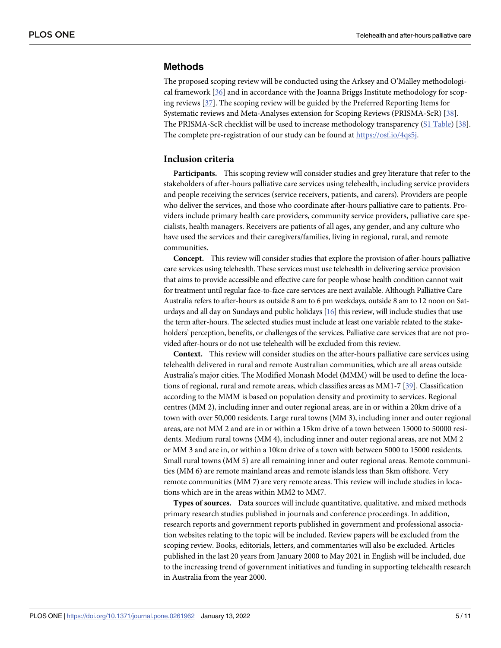#### <span id="page-4-0"></span>**Methods**

The proposed scoping review will be conducted using the Arksey and O'Malley methodological framework [[36](#page-9-0)] and in accordance with the Joanna Briggs Institute methodology for scoping reviews [\[37\]](#page-9-0). The scoping review will be guided by the Preferred Reporting Items for Systematic reviews and Meta-Analyses extension for Scoping Reviews (PRISMA-ScR) [[38](#page-9-0)]. The PRISMA-ScR checklist will be used to increase methodology transparency (S1 [Table\)](#page-7-0) [\[38\]](#page-9-0). The complete pre-registration of our study can be found at [https://osf.io/4qs5j.](https://osf.io/4qs5j)

#### **Inclusion criteria**

**Participants.** This scoping review will consider studies and grey literature that refer to the stakeholders of after-hours palliative care services using telehealth, including service providers and people receiving the services (service receivers, patients, and carers). Providers are people who deliver the services, and those who coordinate after-hours palliative care to patients. Providers include primary health care providers, community service providers, palliative care specialists, health managers. Receivers are patients of all ages, any gender, and any culture who have used the services and their caregivers/families, living in regional, rural, and remote communities.

**Concept.** This review will consider studies that explore the provision of after-hours palliative care services using telehealth. These services must use telehealth in delivering service provision that aims to provide accessible and effective care for people whose health condition cannot wait for treatment until regular face-to-face care services are next available. Although Palliative Care Australia refers to after-hours as outside 8 am to 6 pm weekdays, outside 8 am to 12 noon on Saturdays and all day on Sundays and public holidays [\[16\]](#page-8-0) this review, will include studies that use the term after-hours. The selected studies must include at least one variable related to the stakeholders' perception, benefits, or challenges of the services. Palliative care services that are not provided after-hours or do not use telehealth will be excluded from this review.

**Context.** This review will consider studies on the after-hours palliative care services using telehealth delivered in rural and remote Australian communities, which are all areas outside Australia's major cities. The Modified Monash Model (MMM) will be used to define the locations of regional, rural and remote areas, which classifies areas as MM1-7 [[39](#page-10-0)]. Classification according to the MMM is based on population density and proximity to services. Regional centres (MM 2), including inner and outer regional areas, are in or within a 20km drive of a town with over 50,000 residents. Large rural towns (MM 3), including inner and outer regional areas, are not MM 2 and are in or within a 15km drive of a town between 15000 to 50000 residents. Medium rural towns (MM 4), including inner and outer regional areas, are not MM 2 or MM 3 and are in, or within a 10km drive of a town with between 5000 to 15000 residents. Small rural towns (MM 5) are all remaining inner and outer regional areas. Remote communities (MM 6) are remote mainland areas and remote islands less than 5km offshore. Very remote communities (MM 7) are very remote areas. This review will include studies in locations which are in the areas within MM2 to MM7.

**Types of sources.** Data sources will include quantitative, qualitative, and mixed methods primary research studies published in journals and conference proceedings. In addition, research reports and government reports published in government and professional association websites relating to the topic will be included. Review papers will be excluded from the scoping review. Books, editorials, letters, and commentaries will also be excluded. Articles published in the last 20 years from January 2000 to May 2021 in English will be included, due to the increasing trend of government initiatives and funding in supporting telehealth research in Australia from the year 2000.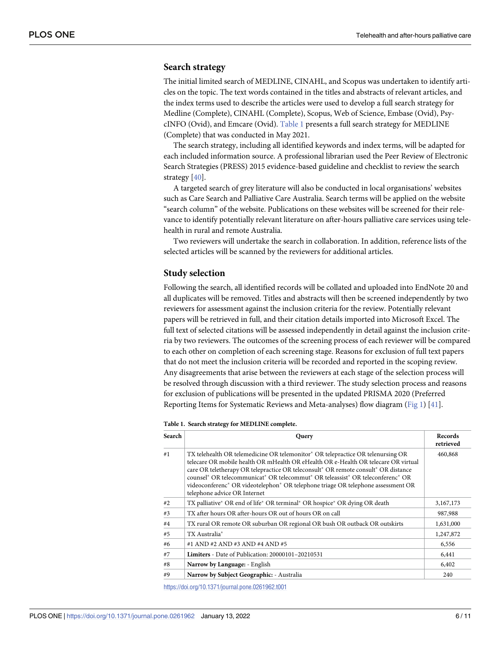#### <span id="page-5-0"></span>**Search strategy**

The initial limited search of MEDLINE, CINAHL, and Scopus was undertaken to identify articles on the topic. The text words contained in the titles and abstracts of relevant articles, and the index terms used to describe the articles were used to develop a full search strategy for Medline (Complete), CINAHL (Complete), Scopus, Web of Science, Embase (Ovid), PsycINFO (Ovid), and Emcare (Ovid). Table 1 presents a full search strategy for MEDLINE (Complete) that was conducted in May 2021.

The search strategy, including all identified keywords and index terms, will be adapted for each included information source. A professional librarian used the Peer Review of Electronic Search Strategies (PRESS) 2015 evidence-based guideline and checklist to review the search strategy [[40](#page-10-0)].

A targeted search of grey literature will also be conducted in local organisations' websites such as Care Search and Palliative Care Australia. Search terms will be applied on the website "search column" of the website. Publications on these websites will be screened for their relevance to identify potentially relevant literature on after-hours palliative care services using telehealth in rural and remote Australia.

Two reviewers will undertake the search in collaboration. In addition, reference lists of the selected articles will be scanned by the reviewers for additional articles.

#### **Study selection**

Following the search, all identified records will be collated and uploaded into EndNote 20 and all duplicates will be removed. Titles and abstracts will then be screened independently by two reviewers for assessment against the inclusion criteria for the review. Potentially relevant papers will be retrieved in full, and their citation details imported into Microsoft Excel. The full text of selected citations will be assessed independently in detail against the inclusion criteria by two reviewers. The outcomes of the screening process of each reviewer will be compared to each other on completion of each screening stage. Reasons for exclusion of full text papers that do not meet the inclusion criteria will be recorded and reported in the scoping review. Any disagreements that arise between the reviewers at each stage of the selection process will be resolved through discussion with a third reviewer. The study selection process and reasons for exclusion of publications will be presented in the updated PRISMA 2020 (Preferred Reporting Items for Systematic Reviews and Meta-analyses) flow diagram [\(Fig](#page-6-0) 1) [[41\]](#page-10-0).

**Table 1. Search strategy for MEDLINE complete.**

| Search | Query                                                                                                                                                                                                                                                                                                                                                                                                                                                                                     | Records<br>retrieved |
|--------|-------------------------------------------------------------------------------------------------------------------------------------------------------------------------------------------------------------------------------------------------------------------------------------------------------------------------------------------------------------------------------------------------------------------------------------------------------------------------------------------|----------------------|
| #1     | TX telehealth OR telemedicine OR telemonitor* OR telepractice OR telenursing OR<br>telecare OR mobile health OR mHealth OR eHealth OR e-Health OR telecare OR virtual<br>care OR teletherapy OR telepractice OR teleconsult* OR remote consult* OR distance<br>counsel* OR telecommunicat* OR telecommut* OR teleassist* OR teleconferenc* OR<br>videoconferenc <sup>*</sup> OR videotelephon <sup>*</sup> OR telephone triage OR telephone assessment OR<br>telephone advice OR Internet | 460,868              |
| #2     | TX palliative* OR end of life* OR terminal* OR hospice* OR dying OR death                                                                                                                                                                                                                                                                                                                                                                                                                 | 3,167,173            |
| #3     | TX after hours OR after-hours OR out of hours OR on call                                                                                                                                                                                                                                                                                                                                                                                                                                  | 987,988              |
| #4     | TX rural OR remote OR suburban OR regional OR bush OR outback OR outskirts                                                                                                                                                                                                                                                                                                                                                                                                                | 1,631,000            |
| #5     | TX Australia*                                                                                                                                                                                                                                                                                                                                                                                                                                                                             | 1,247,872            |
| #6     | #1 AND #2 AND #3 AND #4 AND #5                                                                                                                                                                                                                                                                                                                                                                                                                                                            | 6,556                |
| #7     | <b>Limiters</b> - Date of Publication: 20000101-20210531                                                                                                                                                                                                                                                                                                                                                                                                                                  | 6,441                |
| #8     | Narrow by Language: - English                                                                                                                                                                                                                                                                                                                                                                                                                                                             | 6,402                |
| #9     | Narrow by Subject Geographic: - Australia                                                                                                                                                                                                                                                                                                                                                                                                                                                 | 240                  |

<https://doi.org/10.1371/journal.pone.0261962.t001>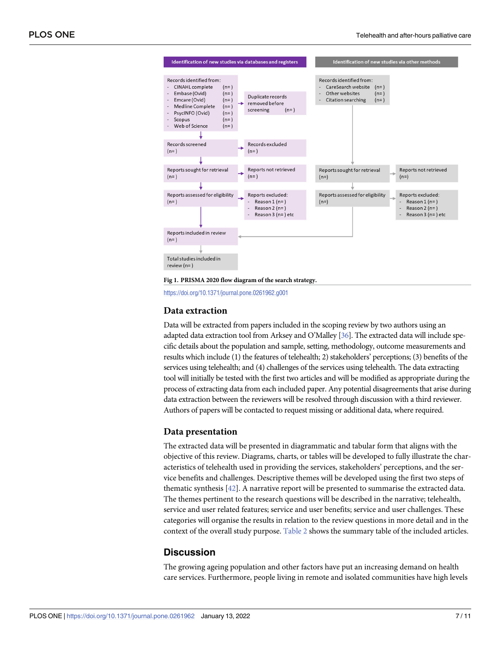<span id="page-6-0"></span>

**[Fig](#page-5-0) 1. PRISMA 2020 flow diagram of the search strategy.**

<https://doi.org/10.1371/journal.pone.0261962.g001>

#### **Data extraction**

Data will be extracted from papers included in the scoping review by two authors using an adapted data extraction tool from Arksey and O'Malley [\[36](#page-9-0)]. The extracted data will include specific details about the population and sample, setting, methodology, outcome measurements and results which include (1) the features of telehealth; 2) stakeholders' perceptions; (3) benefits of the services using telehealth; and (4) challenges of the services using telehealth. The data extracting tool will initially be tested with the first two articles and will be modified as appropriate during the process of extracting data from each included paper. Any potential disagreements that arise during data extraction between the reviewers will be resolved through discussion with a third reviewer. Authors of papers will be contacted to request missing or additional data, where required.

#### **Data presentation**

The extracted data will be presented in diagrammatic and tabular form that aligns with the objective of this review. Diagrams, charts, or tables will be developed to fully illustrate the characteristics of telehealth used in providing the services, stakeholders' perceptions, and the service benefits and challenges. Descriptive themes will be developed using the first two steps of thematic synthesis [[42](#page-10-0)]. A narrative report will be presented to summarise the extracted data. The themes pertinent to the research questions will be described in the narrative; telehealth, service and user related features; service and user benefits; service and user challenges. These categories will organise the results in relation to the review questions in more detail and in the context of the overall study purpose. [Table](#page-7-0) 2 shows the summary table of the included articles.

#### **Discussion**

The growing ageing population and other factors have put an increasing demand on health care services. Furthermore, people living in remote and isolated communities have high levels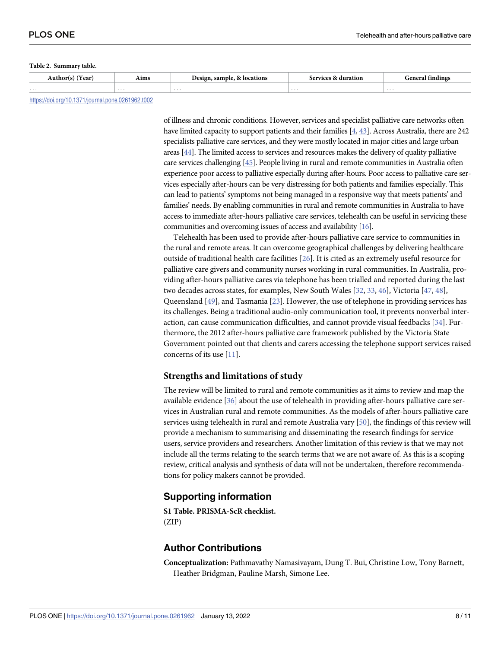#### <span id="page-7-0"></span>**[Table](#page-6-0) 2. Summary table.**

|   | <b>\ims</b> | e commune d<br>0.0101<br>10NS | $A + T$ |   |
|---|-------------|-------------------------------|---------|---|
| . | .           | .                             | .       | . |
|   |             |                               |         |   |

<https://doi.org/10.1371/journal.pone.0261962.t002>

of illness and chronic conditions. However, services and specialist palliative care networks often have limited capacity to support patients and their families [\[4,](#page-8-0) [43](#page-10-0)]. Across Australia, there are 242 specialists palliative care services, and they were mostly located in major cities and large urban areas [\[44](#page-10-0)]. The limited access to services and resources makes the delivery of quality palliative care services challenging [[45\]](#page-10-0). People living in rural and remote communities in Australia often experience poor access to palliative especially during after-hours. Poor access to palliative care services especially after-hours can be very distressing for both patients and families especially. This can lead to patients' symptoms not being managed in a responsive way that meets patients' and families' needs. By enabling communities in rural and remote communities in Australia to have access to immediate after-hours palliative care services, telehealth can be useful in servicing these communities and overcoming issues of access and availability [\[16](#page-8-0)].

Telehealth has been used to provide after-hours palliative care service to communities in the rural and remote areas. It can overcome geographical challenges by delivering healthcare outside of traditional health care facilities [[26](#page-9-0)]. It is cited as an extremely useful resource for palliative care givers and community nurses working in rural communities. In Australia, providing after-hours palliative cares via telephone has been trialled and reported during the last two decades across states, for examples, New South Wales [[32](#page-9-0), [33](#page-9-0), [46](#page-10-0)], Victoria [\[47,](#page-10-0) [48\]](#page-10-0), Queensland [\[49\]](#page-10-0), and Tasmania [[23](#page-9-0)]. However, the use of telephone in providing services has its challenges. Being a traditional audio-only communication tool, it prevents nonverbal interaction, can cause communication difficulties, and cannot provide visual feedbacks [\[34\]](#page-9-0). Furthermore, the 2012 after-hours palliative care framework published by the Victoria State Government pointed out that clients and carers accessing the telephone support services raised concerns of its use [[11](#page-8-0)].

#### **Strengths and limitations of study**

The review will be limited to rural and remote communities as it aims to review and map the available evidence [\[36\]](#page-9-0) about the use of telehealth in providing after-hours palliative care services in Australian rural and remote communities. As the models of after-hours palliative care services using telehealth in rural and remote Australia vary [[50](#page-10-0)], the findings of this review will provide a mechanism to summarising and disseminating the research findings for service users, service providers and researchers. Another limitation of this review is that we may not include all the terms relating to the search terms that we are not aware of. As this is a scoping review, critical analysis and synthesis of data will not be undertaken, therefore recommendations for policy makers cannot be provided.

#### **Supporting information**

**S1 [Table.](http://www.plosone.org/article/fetchSingleRepresentation.action?uri=info:doi/10.1371/journal.pone.0261962.s001) PRISMA-ScR checklist.** (ZIP)

#### **Author Contributions**

**Conceptualization:** Pathmavathy Namasivayam, Dung T. Bui, Christine Low, Tony Barnett, Heather Bridgman, Pauline Marsh, Simone Lee.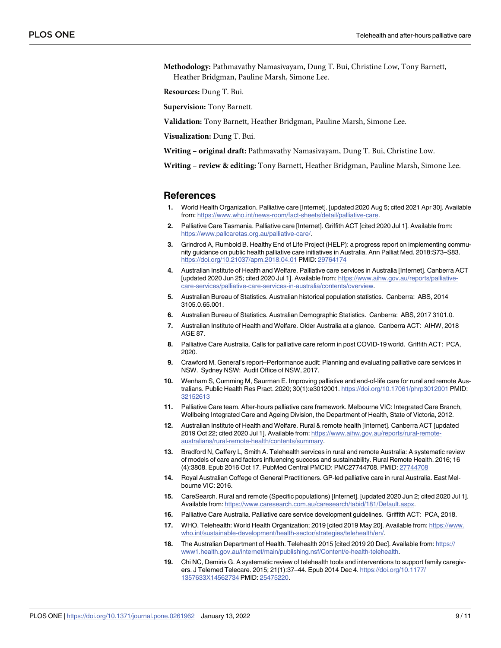<span id="page-8-0"></span>**Methodology:** Pathmavathy Namasivayam, Dung T. Bui, Christine Low, Tony Barnett, Heather Bridgman, Pauline Marsh, Simone Lee.

**Resources:** Dung T. Bui.

**Supervision:** Tony Barnett.

**Validation:** Tony Barnett, Heather Bridgman, Pauline Marsh, Simone Lee.

**Visualization:** Dung T. Bui.

**Writing – original draft:** Pathmavathy Namasivayam, Dung T. Bui, Christine Low.

**Writing – review & editing:** Tony Barnett, Heather Bridgman, Pauline Marsh, Simone Lee.

#### **References**

- **[1](#page-1-0).** World Health Organization. Palliative care [Internet]. [updated 2020 Aug 5; cited 2021 Apr 30]. Available from: <https://www.who.int/news-room/fact-sheets/detail/palliative-care>.
- **[2](#page-1-0).** Palliative Care Tasmania. Palliative care [Internet]. Griffith ACT [cited 2020 Jul 1]. Available from: [https://www.pallcaretas.org.au/palliative-care/.](https://www.pallcaretas.org.au/palliative-care/)
- **[3](#page-1-0).** Grindrod A, Rumbold B. Healthy End of Life Project (HELP): a progress report on implementing community guidance on public health palliative care initiatives in Australia. Ann Palliat Med. 2018:S73–S83. <https://doi.org/10.21037/apm.2018.04.01> PMID: [29764174](http://www.ncbi.nlm.nih.gov/pubmed/29764174)
- **[4](#page-1-0).** Australian Institute of Health and Welfare. Palliative care services in Australia [Internet]. Canberra ACT [updated 2020 Jun 25; cited 2020 Jul 1]. Available from: [https://www.aihw.gov.au/reports/palliative](https://www.aihw.gov.au/reports/palliative-care-services/palliative-care-services-in-australia/contents/overview)[care-services/palliative-care-services-in-australia/contents/overview](https://www.aihw.gov.au/reports/palliative-care-services/palliative-care-services-in-australia/contents/overview).
- **[5](#page-1-0).** Australian Bureau of Statistics. Australian historical population statistics. Canberra: ABS, 2014 3105.0.65.001.
- **[6](#page-1-0).** Australian Bureau of Statistics. Australian Demographic Statistics. Canberra: ABS, 2017 3101.0.
- **[7](#page-1-0).** Australian Institute of Health and Welfare. Older Australia at a glance. Canberra ACT: AIHW, 2018 AGE 87.
- **[8](#page-1-0).** Palliative Care Australia. Calls for palliative care reform in post COVID-19 world. Griffith ACT: PCA, 2020.
- **[9](#page-1-0).** Crawford M. General's report–Performance audit: Planning and evaluating palliative care services in NSW. Sydney NSW: Audit Office of NSW, 2017.
- **[10](#page-1-0).** Wenham S, Cumming M, Saurman E. Improving palliative and end-of-life care for rural and remote Australians. Public Health Res Pract. 2020; 30(1):e3012001. <https://doi.org/10.17061/phrp3012001> PMID: [32152613](http://www.ncbi.nlm.nih.gov/pubmed/32152613)
- **[11](#page-1-0).** Palliative Care team. After-hours palliative care framework. Melbourne VIC: Integrated Care Branch, Wellbeing Integrated Care and Ageing Division, the Department of Health, State of Victoria, 2012.
- **[12](#page-1-0).** Australian Institute of Health and Welfare. Rural & remote health [Internet]. Canberra ACT [updated 2019 Oct 22; cited 2020 Jul 1]. Available from: [https://www.aihw.gov.au/reports/rural-remote](https://www.aihw.gov.au/reports/rural-remote-australians/rural-remote-health/contents/summary)[australians/rural-remote-health/contents/summary](https://www.aihw.gov.au/reports/rural-remote-australians/rural-remote-health/contents/summary).
- **[13](#page-1-0).** Bradford N, Caffery L, Smith A. Telehealth services in rural and remote Australia: A systematic review of models of care and factors influencing success and sustainability. Rural Remote Health. 2016; 16 (4):3808. Epub 2016 Oct 17. PubMed Central PMCID: PMC27744708. PMID: [27744708](http://www.ncbi.nlm.nih.gov/pubmed/27744708)
- **[14](#page-2-0).** Royal Australian Coffege of General Practitioners. GP-led palliative care in rural Australia. East Melbourne VIC: 2016.
- **[15](#page-2-0).** CareSearch. Rural and remote (Specific populations) [Internet]. [updated 2020 Jun 2; cited 2020 Jul 1]. Available from: <https://www.caresearch.com.au/caresearch/tabid/181/Default.aspx>.
- **[16](#page-2-0).** Palliative Care Australia. Palliative care service development guidelines. Griffith ACT: PCA, 2018.
- **[17](#page-2-0).** WHO. Telehealth: World Health Organization; 2019 [cited 2019 May 20]. Available from: [https://www.](https://www.who.int/sustainable-development/health-sector/strategies/telehealth/en/) [who.int/sustainable-development/health-sector/strategies/telehealth/en/](https://www.who.int/sustainable-development/health-sector/strategies/telehealth/en/).
- **[18](#page-2-0).** The Australian Department of Health. Telehealth 2015 [cited 2019 20 Dec]. Available from: [https://](https://www1.health.gov.au/internet/main/publishing.nsf/Content/e-health-telehealth) [www1.health.gov.au/internet/main/publishing.nsf/Content/e-health-telehealth.](https://www1.health.gov.au/internet/main/publishing.nsf/Content/e-health-telehealth)
- **[19](#page-2-0).** Chi NC, Demiris G. A systematic review of telehealth tools and interventions to support family caregivers. J Telemed Telecare. 2015; 21(1):37–44. Epub 2014 Dec 4. [https://doi.org/10.1177/](https://doi.org/10.1177/1357633X14562734) [1357633X14562734](https://doi.org/10.1177/1357633X14562734) PMID: [25475220.](http://www.ncbi.nlm.nih.gov/pubmed/25475220)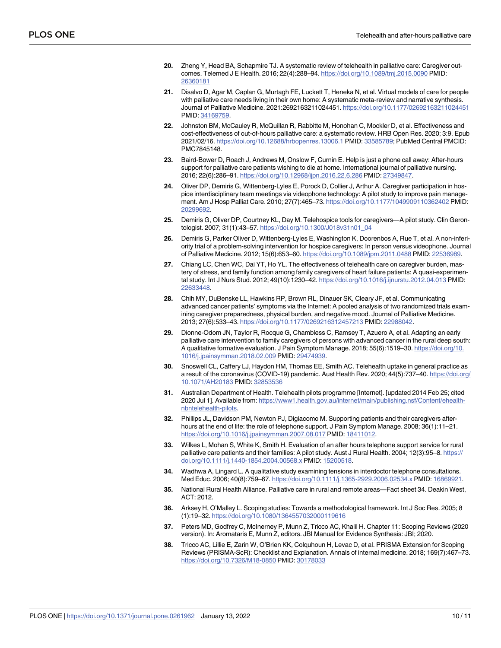- <span id="page-9-0"></span>**20.** Zheng Y, Head BA, Schapmire TJ. A systematic review of telehealth in palliative care: Caregiver outcomes. Telemed J E Health. 2016; 22(4):288–94. <https://doi.org/10.1089/tmj.2015.0090> PMID: [26360181](http://www.ncbi.nlm.nih.gov/pubmed/26360181)
- **21.** Disalvo D, Agar M, Caplan G, Murtagh FE, Luckett T, Heneka N, et al. Virtual models of care for people with palliative care needs living in their own home: A systematic meta-review and narrative synthesis. Journal of Palliative Medicine. 2021:2692163211024451. <https://doi.org/10.1177/02692163211024451> PMID: [34169759](http://www.ncbi.nlm.nih.gov/pubmed/34169759).
- **[22](#page-2-0).** Johnston BM, McCauley R, McQuillan R, Rabbitte M, Honohan C, Mockler D, et al. Effectiveness and cost-effectiveness of out-of-hours palliative care: a systematic review. HRB Open Res. 2020; 3:9. Epub 2021/02/16. <https://doi.org/10.12688/hrbopenres.13006.1> PMID: [33585789](http://www.ncbi.nlm.nih.gov/pubmed/33585789); PubMed Central PMCID: PMC7845148.
- **[23](#page-2-0).** Baird-Bower D, Roach J, Andrews M, Onslow F, Curnin E. Help is just a phone call away: After-hours support for palliative care patients wishing to die at home. International journal of palliative nursing. 2016; 22(6):286–91. <https://doi.org/10.12968/ijpn.2016.22.6.286> PMID: [27349847](http://www.ncbi.nlm.nih.gov/pubmed/27349847).
- **[24](#page-2-0).** Oliver DP, Demiris G, Wittenberg-Lyles E, Porock D, Collier J, Arthur A. Caregiver participation in hospice interdisciplinary team meetings via videophone technology: A pilot study to improve pain management. Am J Hosp Palliat Care. 2010; 27(7):465–73. <https://doi.org/10.1177/1049909110362402> PMID: [20299692](http://www.ncbi.nlm.nih.gov/pubmed/20299692).
- **[25](#page-2-0).** Demiris G, Oliver DP, Courtney KL, Day M. Telehospice tools for caregivers—A pilot study. Clin Gerontologist. 2007; 31(1):43–57. [https://doi.org/10.1300/J018v31n01\\_04](https://doi.org/10.1300/J018v31n01_04)
- **[26](#page-2-0).** Demiris G, Parker Oliver D, Wittenberg-Lyles E, Washington K, Doorenbos A, Rue T, et al. A non-inferiority trial of a problem-solving intervention for hospice caregivers: In person versus videophone. Journal of Palliative Medicine. 2012; 15(6):653–60. <https://doi.org/10.1089/jpm.2011.0488> PMID: [22536989](http://www.ncbi.nlm.nih.gov/pubmed/22536989).
- **[27](#page-2-0).** Chiang LC, Chen WC, Dai YT, Ho YL. The effectiveness of telehealth care on caregiver burden, mastery of stress, and family function among family caregivers of heart failure patients: A quasi-experimental study. Int J Nurs Stud. 2012; 49(10):1230–42. <https://doi.org/10.1016/j.ijnurstu.2012.04.013> PMID: [22633448](http://www.ncbi.nlm.nih.gov/pubmed/22633448).
- **[28](#page-3-0).** Chih MY, DuBenske LL, Hawkins RP, Brown RL, Dinauer SK, Cleary JF, et al. Communicating advanced cancer patients' symptoms via the Internet: A pooled analysis of two randomized trials examining caregiver preparedness, physical burden, and negative mood. Journal of Palliative Medicine. 2013; 27(6):533–43. <https://doi.org/10.1177/0269216312457213> PMID: [22988042](http://www.ncbi.nlm.nih.gov/pubmed/22988042).
- **[29](#page-3-0).** Dionne-Odom JN, Taylor R, Rocque G, Chambless C, Ramsey T, Azuero A, et al. Adapting an early palliative care intervention to family caregivers of persons with advanced cancer in the rural deep south: A qualitative formative evaluation. J Pain Symptom Manage. 2018; 55(6):1519–30. [https://doi.org/10.](https://doi.org/10.1016/j.jpainsymman.2018.02.009) [1016/j.jpainsymman.2018.02.009](https://doi.org/10.1016/j.jpainsymman.2018.02.009) PMID: [29474939.](http://www.ncbi.nlm.nih.gov/pubmed/29474939)
- **[30](#page-3-0).** Snoswell CL, Caffery LJ, Haydon HM, Thomas EE, Smith AC. Telehealth uptake in general practice as a result of the coronavirus (COVID-19) pandemic. Aust Health Rev. 2020; 44(5):737–40. [https://doi.org/](https://doi.org/10.1071/AH20183) [10.1071/AH20183](https://doi.org/10.1071/AH20183) PMID: [32853536](http://www.ncbi.nlm.nih.gov/pubmed/32853536)
- **[31](#page-3-0).** Australian Department of Health. Telehealth pilots programme [Internet]. [updated 2014 Feb 25; cited 2020 Jul 1]. Available from: [https://www1.health.gov.au/internet/main/publishing.nsf/Content/ehealth](https://www1.health.gov.au/internet/main/publishing.nsf/Content/ehealth-nbntelehealth-pilots)[nbntelehealth-pilots](https://www1.health.gov.au/internet/main/publishing.nsf/Content/ehealth-nbntelehealth-pilots).
- **[32](#page-3-0).** Phillips JL, Davidson PM, Newton PJ, Digiacomo M. Supporting patients and their caregivers afterhours at the end of life: the role of telephone support. J Pain Symptom Manage. 2008; 36(1):11-21. <https://doi.org/10.1016/j.jpainsymman.2007.08.017> PMID: [18411012](http://www.ncbi.nlm.nih.gov/pubmed/18411012).
- **[33](#page-3-0).** Wilkes L, Mohan S, White K, Smith H. Evaluation of an after hours telephone support service for rural palliative care patients and their families: A pilot study. Aust J Rural Health. 2004; 12(3):95–8. [https://](https://doi.org/10.1111/j.1440-1854.2004.00568.x) [doi.org/10.1111/j.1440-1854.2004.00568.x](https://doi.org/10.1111/j.1440-1854.2004.00568.x) PMID: [15200518.](http://www.ncbi.nlm.nih.gov/pubmed/15200518)
- **[34](#page-3-0).** Wadhwa A, Lingard L. A qualitative study examining tensions in interdoctor telephone consultations. Med Educ. 2006; 40(8):759–67. <https://doi.org/10.1111/j.1365-2929.2006.02534.x> PMID: [16869921.](http://www.ncbi.nlm.nih.gov/pubmed/16869921)
- **[35](#page-3-0).** National Rural Health Alliance. Palliative care in rural and remote areas—Fact sheet 34. Deakin West, ACT: 2012.
- **[36](#page-3-0).** Arksey H, O'Malley L. Scoping studies: Towards a methodological framework. Int J Soc Res. 2005; 8 (1):19–32. <https://doi.org/10.1080/1364557032000119616>
- **[37](#page-4-0).** Peters MD, Godfrey C, McInerney P, Munn Z, Tricco AC, Khalil H. Chapter 11: Scoping Reviews (2020 version). In: Aromataris E, Munn Z, editors. JBI Manual for Evidence Synthesis: JBI; 2020.
- **[38](#page-4-0).** Tricco AC, Lillie E, Zarin W, O'Brien KK, Colquhoun H, Levac D, et al. PRISMA Extension for Scoping Reviews (PRISMA-ScR): Checklist and Explanation. Annals of internal medicine. 2018; 169(7):467–73. <https://doi.org/10.7326/M18-0850> PMID: [30178033](http://www.ncbi.nlm.nih.gov/pubmed/30178033)